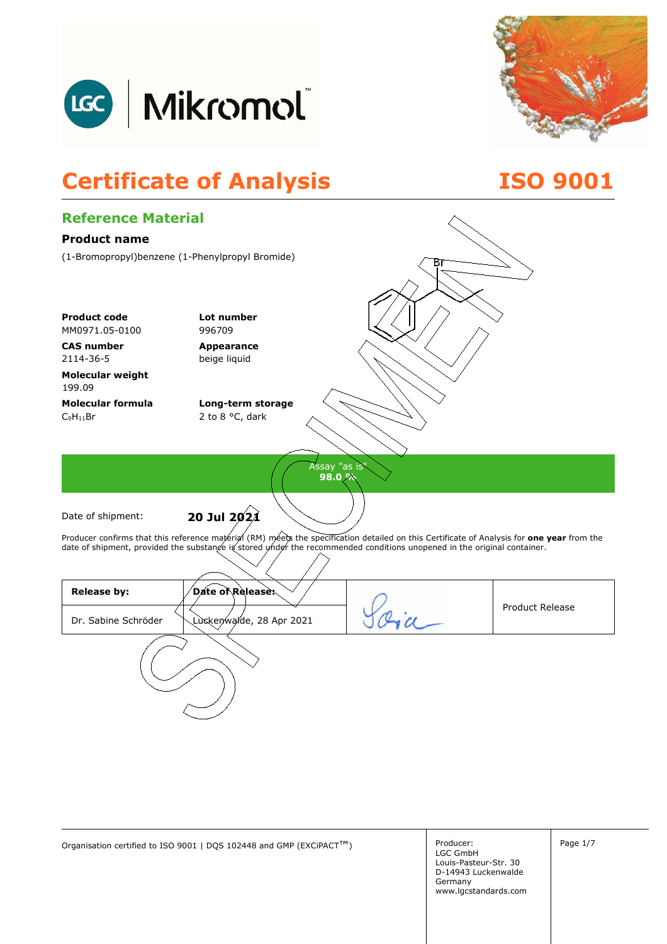



# **Certificate of Analysis ISO 9001**



Organisation certified to ISO 9001 | DQS 102448 and GMP (EXCiPACT<sup>™</sup>) Producer: Page 1/7

Producer: LGC GmbH Louis-Pasteur-Str. 30 D-14943 Luckenwalde Germany www.lgcstandards.com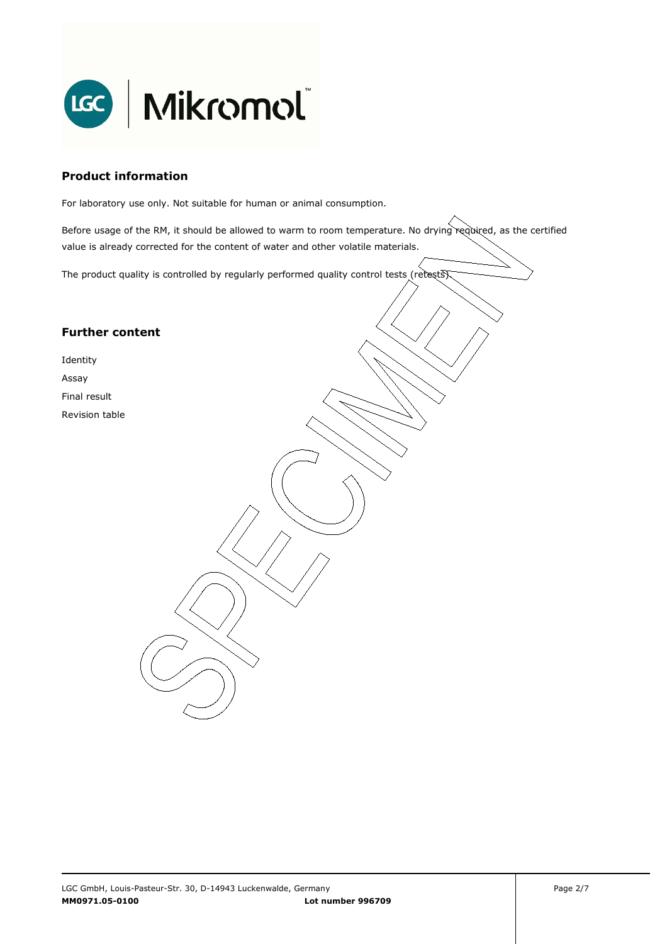

### **Product information**

For laboratory use only. Not suitable for human or animal consumption.

Before usage of the RM, it should be allowed to warm to room temperature. No drying required, as the certified value is already corrected for the content of water and other volatile materials.

. The product quality is controlled by regularly performed quality control tests (retests).

### **Further content**

Identity Assay Final result

Revision table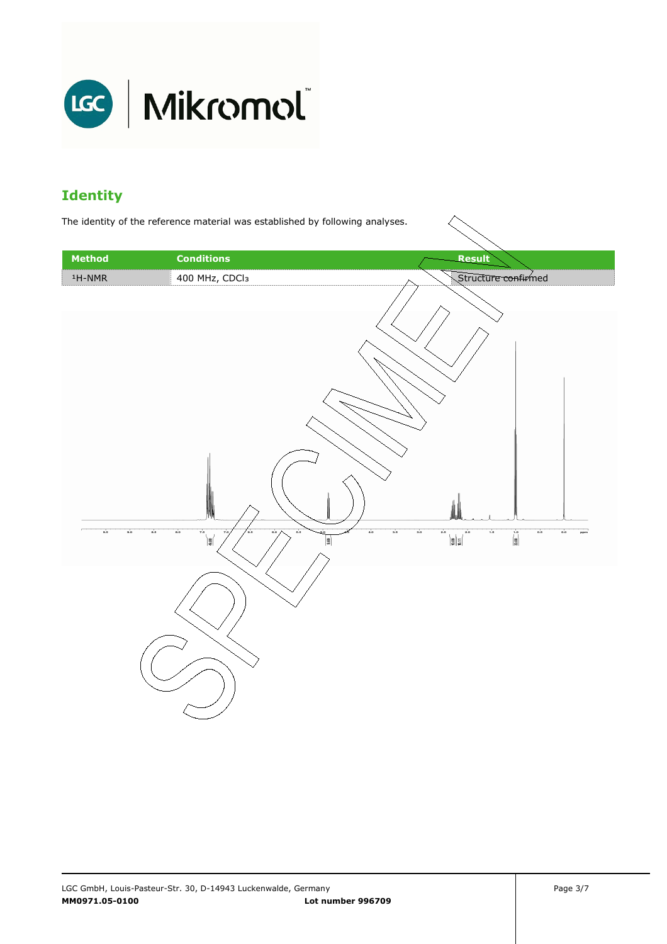

## **Identity**

The identity of the reference material was established by following analyses.

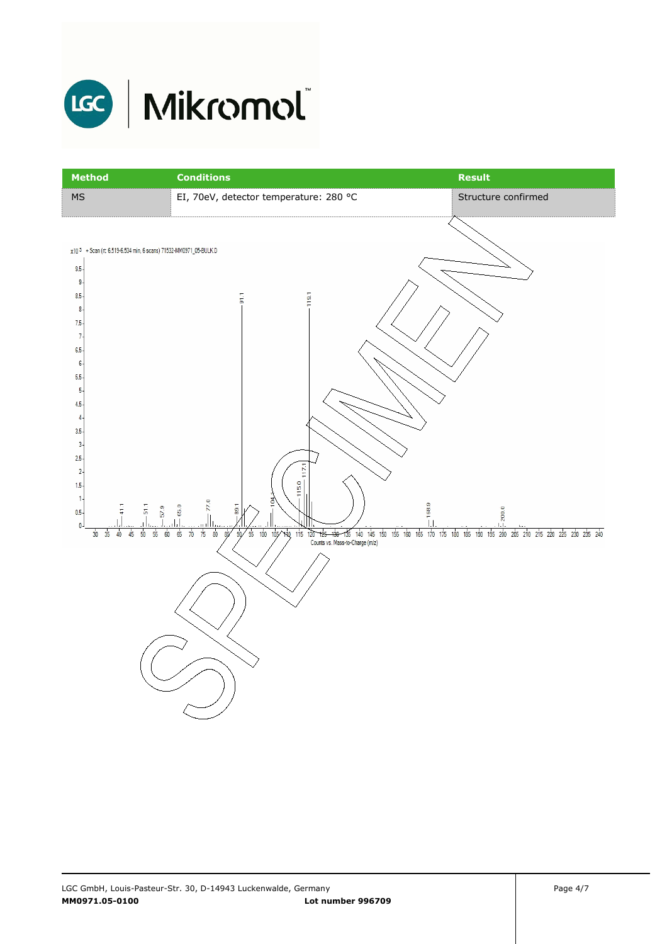

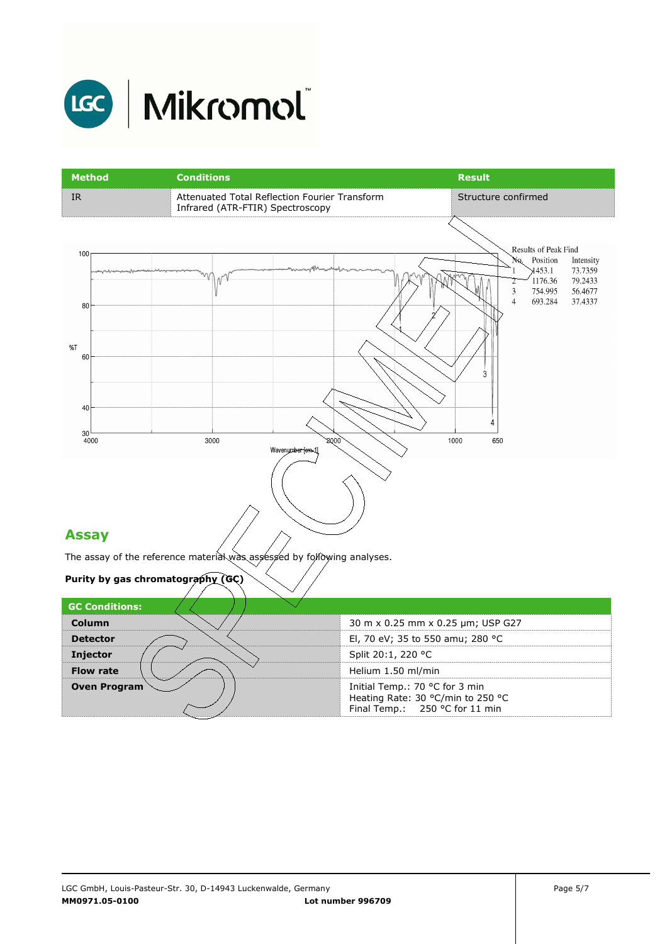

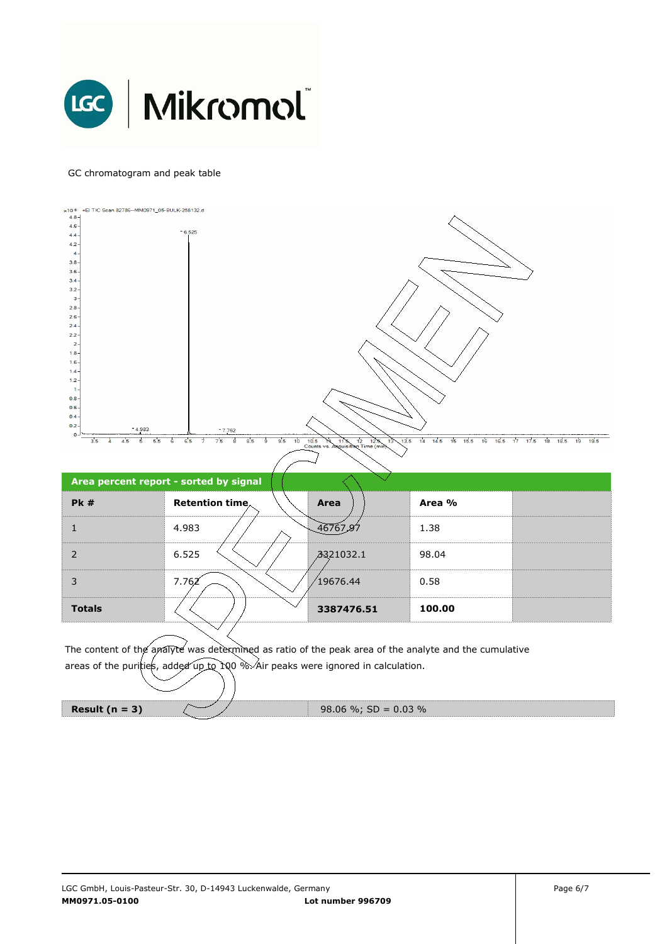

#### GC chromatogram and peak table



**Result (n = 3)**  $\sqrt{ }$  98.06 %; SD = 0.03 %